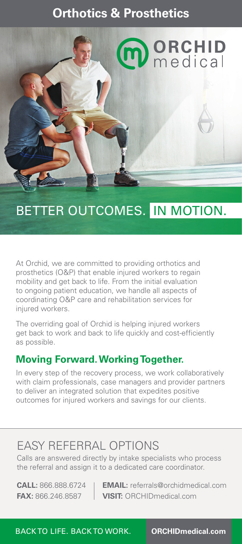## **Orthotics & Prosthetics**



# BETTER OUTCOMES. IN MOTION.

At Orchid, we are committed to providing orthotics and prosthetics (O&P) that enable injured workers to regain mobility and get back to life. From the initial evaluation to ongoing patient education, we handle all aspects of coordinating O&P care and rehabilitation services for injured workers.

The overriding goal of Orchid is helping injured workers get back to work and back to life quickly and cost-efficiently as possible.

### **Moving Forward. Working Together.**

In every step of the recovery process, we work collaboratively with claim professionals, case managers and provider partners to deliver an integrated solution that expedites positive outcomes for injured workers and savings for our clients.

## EASY REFERRAL OPTIONS

Calls are answered directly by intake specialists who process the referral and assign it to a dedicated care coordinator.

**CALL:** 866.888.6724 **EMAIL:** referrals@orchidmedical.com **FAX:** 866.246.8587 **VISIT:** ORCHIDmedical.com

BACK TO LIFE. BACK TO WORK. **ORCHIDmedical.com**